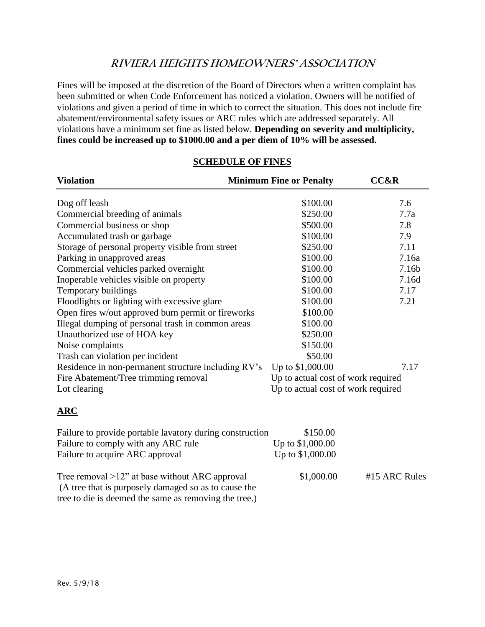# **RIVIERA HEIGHTS HOMEOWNERS' ASSOCIATION**

Fines will be imposed at the discretion of the Board of Directors when a written complaint has been submitted or when Code Enforcement has noticed a violation. Owners will be notified of violations and given a period of time in which to correct the situation. This does not include fire abatement/environmental safety issues or ARC rules which are addressed separately. All violations have a minimum set fine as listed below. **Depending on severity and multiplicity, fines could be increased up to \$1000.00 and a per diem of 10% will be assessed.**

| <b>Violation</b>                                    | <b>Minimum Fine or Penalty</b> | <b>CC&amp;R</b>                    |  |
|-----------------------------------------------------|--------------------------------|------------------------------------|--|
| Dog off leash                                       | \$100.00                       | 7.6                                |  |
| Commercial breeding of animals                      | \$250.00                       | 7.7a                               |  |
| Commercial business or shop                         | \$500.00                       | 7.8                                |  |
| Accumulated trash or garbage                        | \$100.00                       | 7.9                                |  |
| Storage of personal property visible from street    | \$250.00                       | 7.11                               |  |
| Parking in unapproved areas                         | \$100.00                       | 7.16a                              |  |
| Commercial vehicles parked overnight                | \$100.00                       | 7.16b                              |  |
| Inoperable vehicles visible on property             | \$100.00                       | 7.16d                              |  |
| Temporary buildings                                 | \$100.00                       | 7.17                               |  |
| Floodlights or lighting with excessive glare        | \$100.00                       | 7.21                               |  |
| Open fires w/out approved burn permit or fireworks  | \$100.00                       |                                    |  |
| Illegal dumping of personal trash in common areas   | \$100.00                       |                                    |  |
| Unauthorized use of HOA key                         | \$250.00                       |                                    |  |
| Noise complaints                                    | \$150.00                       |                                    |  |
| Trash can violation per incident                    | \$50.00                        |                                    |  |
| Residence in non-permanent structure including RV's | Up to \$1,000.00               | 7.17                               |  |
| Fire Abatement/Tree trimming removal                |                                | Up to actual cost of work required |  |
| Lot clearing                                        |                                | Up to actual cost of work required |  |
| $\overline{\textbf{ARC}}$                           |                                |                                    |  |

# **SCHEDULE OF FINES**

| Failure to provide portable lavatory during construction | \$150.00         |               |
|----------------------------------------------------------|------------------|---------------|
| Failure to comply with any ARC rule                      | Up to \$1,000.00 |               |
| Failure to acquire ARC approval                          | Up to \$1,000.00 |               |
|                                                          |                  |               |
| Tree removal $>12$ " at base without ARC approval        | \$1,000.00       | #15 ARC Rules |
| (A tree that is purposely damaged so as to cause the     |                  |               |
| tree to die is deemed the same as removing the tree.)    |                  |               |